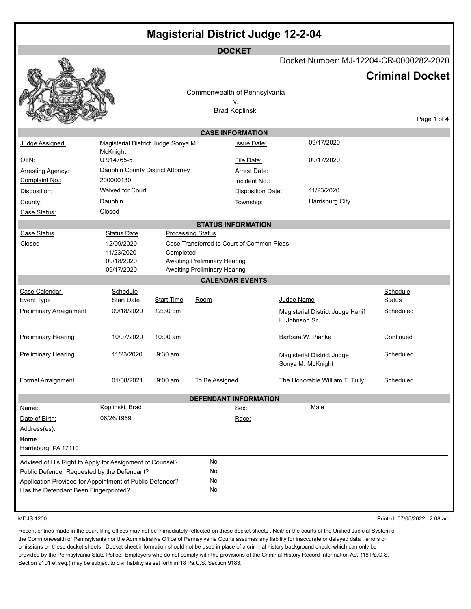| <b>Magisterial District Judge 12-2-04</b>                                                         |                                                        |                   |                                     |                           |                                                                 |                                         |                           |                        |
|---------------------------------------------------------------------------------------------------|--------------------------------------------------------|-------------------|-------------------------------------|---------------------------|-----------------------------------------------------------------|-----------------------------------------|---------------------------|------------------------|
|                                                                                                   |                                                        |                   |                                     | <b>DOCKET</b>             |                                                                 |                                         |                           |                        |
|                                                                                                   |                                                        |                   |                                     |                           |                                                                 | Docket Number: MJ-12204-CR-0000282-2020 |                           | <b>Criminal Docket</b> |
|                                                                                                   |                                                        |                   |                                     |                           |                                                                 |                                         |                           |                        |
|                                                                                                   |                                                        |                   | Commonwealth of Pennsylvania        | ٧.                        |                                                                 |                                         |                           |                        |
|                                                                                                   |                                                        |                   |                                     | <b>Brad Koplinski</b>     |                                                                 |                                         |                           |                        |
|                                                                                                   |                                                        |                   |                                     |                           |                                                                 |                                         |                           | Page 1 of 4            |
|                                                                                                   |                                                        |                   |                                     | <b>CASE INFORMATION</b>   |                                                                 |                                         |                           |                        |
| Judge Assigned:                                                                                   | Magisterial District Judge Sonya M.<br>McKnight        |                   |                                     | <b>Issue Date:</b>        |                                                                 | 09/17/2020                              |                           |                        |
| <u>OTN:</u>                                                                                       | U 914765-5                                             |                   |                                     | File Date:                |                                                                 | 09/17/2020                              |                           |                        |
| <b>Arresting Agency:</b>                                                                          | Dauphin County District Attorney                       |                   |                                     | <b>Arrest Date:</b>       |                                                                 |                                         |                           |                        |
| Complaint No.:                                                                                    | 200000130                                              |                   |                                     | Incident No.:             |                                                                 |                                         |                           |                        |
| Disposition:                                                                                      | <b>Waived for Court</b>                                |                   |                                     | Disposition Date:         |                                                                 | 11/23/2020                              |                           |                        |
| County:                                                                                           | Dauphin                                                |                   |                                     | Township:                 | Harrisburg City                                                 |                                         |                           |                        |
| Case Status:                                                                                      | Closed                                                 |                   |                                     |                           |                                                                 |                                         |                           |                        |
|                                                                                                   |                                                        |                   |                                     | <b>STATUS INFORMATION</b> |                                                                 |                                         |                           |                        |
| Case Status<br>Closed                                                                             | <b>Status Date</b><br>12/09/2020                       |                   | <b>Processing Status</b>            |                           |                                                                 |                                         |                           |                        |
|                                                                                                   | Case Transferred to Court of Common Pleas<br>Completed |                   |                                     |                           |                                                                 |                                         |                           |                        |
|                                                                                                   | 09/18/2020                                             |                   | <b>Awaiting Preliminary Hearing</b> |                           |                                                                 |                                         |                           |                        |
|                                                                                                   | 09/17/2020                                             |                   | Awaiting Preliminary Hearing        |                           |                                                                 |                                         |                           |                        |
|                                                                                                   |                                                        |                   |                                     | <b>CALENDAR EVENTS</b>    |                                                                 |                                         |                           |                        |
| Case Calendar<br><b>Event Type</b>                                                                | Schedule<br><b>Start Date</b>                          | <b>Start Time</b> | Room                                |                           | Judge Name                                                      |                                         | Schedule<br><u>Status</u> |                        |
| Preliminary Arraignment                                                                           | 09/18/2020                                             | 12:30 pm          |                                     |                           | Scheduled<br>Magisterial District Judge Hanif<br>L. Johnson Sr. |                                         |                           |                        |
| Preliminary Hearing                                                                               | 10/07/2020                                             | 10:00 am          |                                     |                           | Barbara W. Pianka                                               |                                         | Continued                 |                        |
| Preliminary Hearing                                                                               | 11/23/2020                                             | $9:30$ am         |                                     |                           | Magisterial District Judge<br>Sonya M. McKnight                 |                                         | Scheduled                 |                        |
| Formal Arraignment                                                                                | 01/08/2021                                             | $9:00$ am         | To Be Assigned                      |                           |                                                                 | The Honorable William T. Tully          | Scheduled                 |                        |
|                                                                                                   |                                                        |                   | <b>DEFENDANT INFORMATION</b>        |                           |                                                                 |                                         |                           |                        |
| Name:                                                                                             | Koplinski, Brad                                        |                   |                                     | <u>Sex:</u>               |                                                                 | Male                                    |                           |                        |
| Date of Birth:                                                                                    | 06/26/1969                                             | Race:             |                                     |                           |                                                                 |                                         |                           |                        |
| Address(es):                                                                                      |                                                        |                   |                                     |                           |                                                                 |                                         |                           |                        |
| Home                                                                                              |                                                        |                   |                                     |                           |                                                                 |                                         |                           |                        |
| Harrisburg, PA 17110                                                                              |                                                        |                   |                                     |                           |                                                                 |                                         |                           |                        |
| Advised of His Right to Apply for Assignment of Counsel?                                          |                                                        |                   | No                                  |                           |                                                                 |                                         |                           |                        |
| Public Defender Requested by the Defendant?                                                       |                                                        |                   | No<br>No                            |                           |                                                                 |                                         |                           |                        |
| Application Provided for Appointment of Public Defender?<br>Has the Defendant Been Fingerprinted? |                                                        |                   | No                                  |                           |                                                                 |                                         |                           |                        |
|                                                                                                   |                                                        |                   |                                     |                           |                                                                 |                                         |                           |                        |
|                                                                                                   |                                                        |                   |                                     |                           |                                                                 |                                         |                           |                        |

MDJS 1200 Printed: 07/05/2022 2:08 am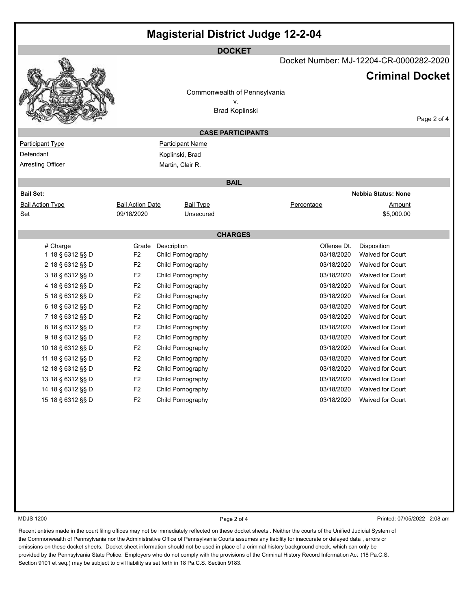| <b>Magisterial District Judge 12-2-04</b> |                         |                         |                              |                                         |                            |             |  |
|-------------------------------------------|-------------------------|-------------------------|------------------------------|-----------------------------------------|----------------------------|-------------|--|
| <b>DOCKET</b>                             |                         |                         |                              |                                         |                            |             |  |
|                                           |                         |                         |                              | Docket Number: MJ-12204-CR-0000282-2020 |                            |             |  |
|                                           |                         |                         |                              |                                         |                            |             |  |
|                                           |                         |                         |                              |                                         | <b>Criminal Docket</b>     |             |  |
|                                           |                         |                         | Commonwealth of Pennsylvania |                                         |                            |             |  |
|                                           |                         |                         | ۷.                           |                                         |                            |             |  |
|                                           |                         |                         | <b>Brad Koplinski</b>        |                                         |                            |             |  |
|                                           |                         |                         |                              |                                         |                            | Page 2 of 4 |  |
|                                           |                         |                         | <b>CASE PARTICIPANTS</b>     |                                         |                            |             |  |
| <b>Participant Type</b>                   |                         | <b>Participant Name</b> |                              |                                         |                            |             |  |
| Defendant                                 |                         | Koplinski, Brad         |                              |                                         |                            |             |  |
| Arresting Officer                         |                         | Martin, Clair R.        |                              |                                         |                            |             |  |
|                                           |                         |                         | <b>BAIL</b>                  |                                         |                            |             |  |
| <b>Bail Set:</b>                          |                         |                         |                              |                                         | <b>Nebbia Status: None</b> |             |  |
| <b>Bail Action Type</b>                   | <b>Bail Action Date</b> | <b>Bail Type</b>        |                              | Percentage                              | Amount                     |             |  |
| Set                                       | 09/18/2020              | Unsecured               |                              |                                         | \$5,000.00                 |             |  |
|                                           |                         |                         |                              |                                         |                            |             |  |
|                                           |                         |                         | <b>CHARGES</b>               |                                         |                            |             |  |
| # Charge                                  | Grade                   | Description             |                              | Offense Dt.                             | Disposition                |             |  |
| 1 18 § 6312 §§ D                          | F2                      | Child Pornography       |                              | 03/18/2020                              | <b>Waived for Court</b>    |             |  |
| 2 18 § 6312 §§ D                          | F <sub>2</sub>          | Child Pornography       |                              | 03/18/2020                              | <b>Waived for Court</b>    |             |  |
| 3 18 § 6312 §§ D                          | F <sub>2</sub>          | Child Pornography       |                              | 03/18/2020                              | <b>Waived for Court</b>    |             |  |
| 4 18 § 6312 §§ D                          | F <sub>2</sub>          | Child Pornography       |                              | 03/18/2020                              | Waived for Court           |             |  |
| 5 18 § 6312 §§ D                          | F <sub>2</sub>          | Child Pornography       |                              | 03/18/2020                              | <b>Waived for Court</b>    |             |  |
| 6 18 § 6312 §§ D                          | F <sub>2</sub>          | Child Pornography       |                              | 03/18/2020                              | Waived for Court           |             |  |
| 7 18 § 6312 §§ D                          | F <sub>2</sub>          | Child Pornography       |                              | 03/18/2020                              | <b>Waived for Court</b>    |             |  |
| 8 18 § 6312 §§ D                          | F <sub>2</sub>          | Child Pornography       |                              | 03/18/2020                              | Waived for Court           |             |  |
| 9 18 § 6312 §§ D                          | F <sub>2</sub>          | Child Pornography       |                              | 03/18/2020                              | <b>Waived for Court</b>    |             |  |
| 10 18 § 6312 §§ D                         | F <sub>2</sub>          | Child Pornography       |                              | 03/18/2020                              | <b>Waived for Court</b>    |             |  |
| 11 18 § 6312 §§ D                         | F <sub>2</sub>          | Child Pornography       |                              | 03/18/2020                              | <b>Waived for Court</b>    |             |  |
| 12 18 § 6312 §§ D                         | F <sub>2</sub>          | Child Pornography       |                              | 03/18/2020                              | Waived for Court           |             |  |
| 13 18 § 6312 §§ D                         | F <sub>2</sub>          | Child Pornography       |                              | 03/18/2020                              | Waived for Court           |             |  |
| 14 18 § 6312 §§ D                         | F <sub>2</sub>          | Child Pornography       |                              | 03/18/2020                              | Waived for Court           |             |  |
| 15 18 § 6312 §§ D                         | F2                      | Child Pornography       |                              | 03/18/2020                              | Waived for Court           |             |  |
|                                           |                         |                         |                              |                                         |                            |             |  |
|                                           |                         |                         |                              |                                         |                            |             |  |
|                                           |                         |                         |                              |                                         |                            |             |  |
|                                           |                         |                         |                              |                                         |                            |             |  |

MDJS 1200 **Page 2 of 4** Printed: 07/05/2022 2:08 am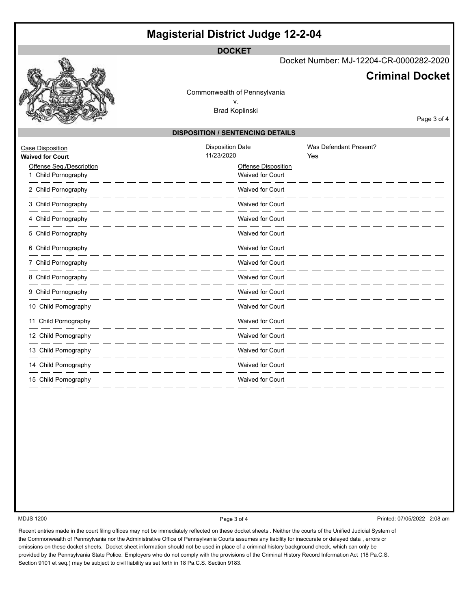# **Magisterial District Judge 12-2-04**

**DOCKET**

Docket Number: MJ-12204-CR-0000282-2020

## **Criminal Docket**

Commonwealth of Pennsylvania v. Brad Koplinski

Page 3 of 4

### **DISPOSITION / SENTENCING DETAILS**

| Case Disposition<br><b>Waived for Court</b>   | <b>Disposition Date</b><br>11/23/2020 |                                                | Was Defendant Present?<br>Yes |
|-----------------------------------------------|---------------------------------------|------------------------------------------------|-------------------------------|
| Offense Seq./Description<br>Child Pornography |                                       | <b>Offense Disposition</b><br>Waived for Court |                               |
| 2 Child Pornography                           |                                       | <b>Waived for Court</b>                        |                               |
| 3 Child Pornography                           |                                       | <b>Waived for Court</b>                        |                               |
| 4 Child Pornography                           |                                       | Waived for Court                               |                               |
| 5 Child Pornography                           |                                       | <b>Waived for Court</b>                        |                               |
| 6 Child Pornography                           |                                       | <b>Waived for Court</b>                        |                               |
| 7 Child Pornography                           |                                       | <b>Waived for Court</b>                        |                               |
| 8 Child Pornography                           |                                       | Waived for Court                               |                               |
| 9 Child Pornography                           |                                       | Waived for Court                               |                               |
| 10 Child Pornography                          |                                       | Waived for Court                               |                               |
| 11 Child Pornography                          |                                       | <b>Waived for Court</b>                        |                               |
| 12 Child Pornography                          |                                       | <b>Waived for Court</b>                        |                               |
| 13 Child Pornography                          |                                       | <b>Waived for Court</b>                        |                               |
| 14 Child Pornography                          |                                       | Waived for Court                               |                               |
| 15 Child Pornography                          |                                       | <b>Waived for Court</b>                        |                               |

MDJS 1200 **Page 3 of 4** Page 3 of 4 Printed: 07/05/2022 2:08 am